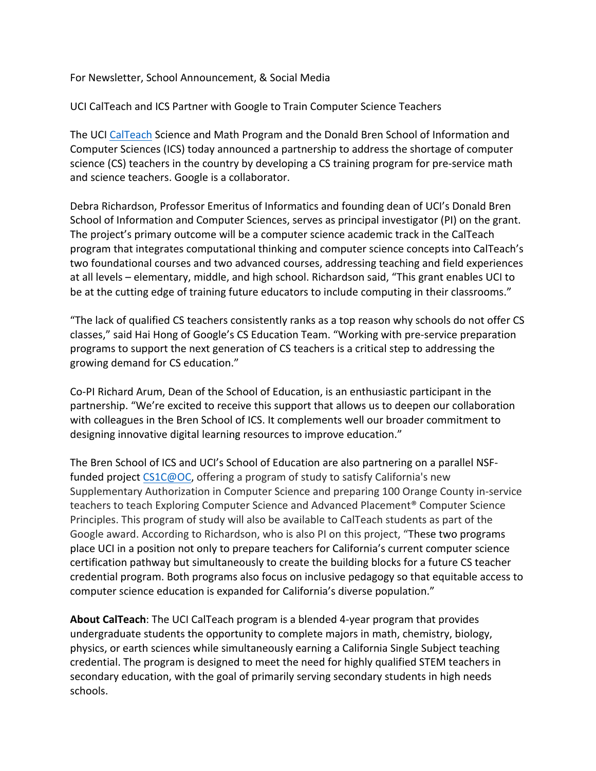For Newsletter, School Announcement, & Social Media

UCI CalTeach and ICS Partner with Google to Train Computer Science Teachers

The UCI CalTeach Science and Math Program and the Donald Bren School of Information and Computer Sciences (ICS) today announced a partnership to address the shortage of computer science (CS) teachers in the country by developing a CS training program for pre-service math and science teachers. Google is a collaborator.

Debra Richardson, Professor Emeritus of Informatics and founding dean of UCI's Donald Bren School of Information and Computer Sciences, serves as principal investigator (PI) on the grant. The project's primary outcome will be a computer science academic track in the CalTeach program that integrates computational thinking and computer science concepts into CalTeach's two foundational courses and two advanced courses, addressing teaching and field experiences at all levels – elementary, middle, and high school. Richardson said, "This grant enables UCI to be at the cutting edge of training future educators to include computing in their classrooms."

"The lack of qualified CS teachers consistently ranks as a top reason why schools do not offer CS classes," said Hai Hong of Google's CS Education Team. "Working with pre-service preparation programs to support the next generation of CS teachers is a critical step to addressing the growing demand for CS education."

Co-PI Richard Arum, Dean of the School of Education, is an enthusiastic participant in the partnership. "We're excited to receive this support that allows us to deepen our collaboration with colleagues in the Bren School of ICS. It complements well our broader commitment to designing innovative digital learning resources to improve education."

The Bren School of ICS and UCI's School of Education are also partnering on a parallel NSFfunded project CS1C@OC, offering a program of study to satisfy California's new Supplementary Authorization in Computer Science and preparing 100 Orange County in-service teachers to teach Exploring Computer Science and Advanced Placement<sup>®</sup> Computer Science Principles. This program of study will also be available to CalTeach students as part of the Google award. According to Richardson, who is also PI on this project, "These two programs place UCI in a position not only to prepare teachers for California's current computer science certification pathway but simultaneously to create the building blocks for a future CS teacher credential program. Both programs also focus on inclusive pedagogy so that equitable access to computer science education is expanded for California's diverse population."

**About CalTeach:** The UCI CalTeach program is a blended 4-year program that provides undergraduate students the opportunity to complete majors in math, chemistry, biology, physics, or earth sciences while simultaneously earning a California Single Subject teaching credential. The program is designed to meet the need for highly qualified STEM teachers in secondary education, with the goal of primarily serving secondary students in high needs schools.